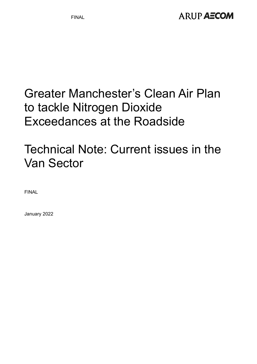# Greater Manchester's Clean Air Plan to tackle Nitrogen Dioxide Exceedances at the Roadside

# Technical Note: Current issues in the Van Sector

FINAL

January 2022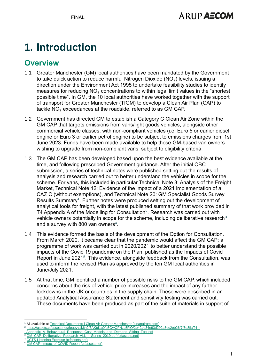## **ARUP AECOM**

# **1. Introduction**

#### **Overview**

- 1.1 Greater Manchester (GM) local authorities have been mandated by the Government to take quick action to reduce harmful Nitrogen Dioxide ( $NO<sub>2</sub>$ ) levels, issuing a direction under the Environment Act 1995 to undertake feasibility studies to identify measures for reducing  $NO<sub>2</sub>$  concentrations to within legal limit values in the "shortest possible time". In GM, the 10 local authorities have worked together with the support of transport for Greater Manchester (TfGM) to develop a Clean Air Plan (CAP) to tackle NO₂ exceedances at the roadside, referred to as GM CAP.
- 1.2 Government has directed GM to establish a Category C Clean Air Zone within the GM CAP that targets emissions from vans/light goods vehicles, alongside other commercial vehicle classes, with non-compliant vehicles (i.e. Euro 5 or earlier diesel engine or Euro 3 or earlier petrol engine) to be subject to emissions charges from 1st June 2023. Funds have been made available to help those GM-based van owners wishing to upgrade from non-compliant vans, subject to eligibility criteria.
- 1.3 The GM CAP has been developed based upon the best evidence available at the time, and following prescribed Government guidance. After the initial OBC submission, a series of technical notes were published setting out the results of analysis and research carried out to better understand the vehicles in scope for the scheme. For vans, this included in particular Technical Note 3: Analysis of the Freight Market, Technical Note 12: Evidence of the impact of a 2021 implementation of a CAZ C (without exemptions), and Technical Note 20: GM Specialist Goods Survey Results Summary<sup>1</sup>. Further notes were produced setting out the development of analytical tools for freight, with the latest published summary of that work provided in T4 Appendix A of the Modelling for Consultation<sup>2</sup>. Research was carried out with vehicle owners potentially in scope for the scheme, including deliberative research<sup>3</sup> and a survey with 800 van owners<sup>4</sup>.
- 1.4 This evidence formed the basis of the development of the Option for Consultation. From March 2020, it became clear that the pandemic would affect the GM CAP; a programme of work was carried out in 2020/2021 to better understand the possible impacts of the Covid 19 pandemic on the Plan, published as the Impacts of Covid Report in June 2021<sup>5</sup>. This evidence, alongside feedback from the Consultation, was used to inform the revised Plan as approved by the ten GM local authorities in June/July 2021.
- 1.5 At that time, GM identified a number of possible risks to the GM CAP, which included concerns about the risk of vehicle price increases and the impact of any further lockdowns in the UK or countries in the supply chain. These were described in an updated Analytical Assurance Statement and sensitivity testing was carried out. These documents have been produced as part of the suite of materials in support of

[CCTS Listening Exercise \(ctfassets.net\)](https://assets.ctfassets.net/tlpgbvy1k6h2/5e5iXeGPZwXiSvaTTWgID0/4c93aa82e0d4ec3e5f4f7ddcb29ae9ff/GM_CAP_Survey_and_Interviews_VAN_-_Autumn_2019.pdf)

<sup>&</sup>lt;sup>1</sup> All available a[t Technical Documents | Clean Air Greater Manchester \(cleanairgm.com\)](https://cleanairgm.com/technical-documents/)

<sup>2</sup> [https://assets.ctfassets.net/tlpgbvy1k6h2/3AKtd1g0fg5OwQFNzc5FlQ/2b42ae34e93d292a5ec2eb26f7f5e8fb/T4\\_-](https://assets.ctfassets.net/tlpgbvy1k6h2/3AKtd1g0fg5OwQFNzc5FlQ/2b42ae34e93d292a5ec2eb26f7f5e8fb/T4_-_Appendix_A_Behavioural_Response_Cost_Models_and_Demand_Sifting_Tool.pdf)

Appendix\_A\_Behavioural\_Response\_Cost\_Models\_and\_Demand\_Sifting\_Tool.pdf

[GM\\_CAP\\_Deliberative\\_Research\\_ALL\\_-\\_Spring\\_2019.pdf \(ctfassets.net\)](https://assets.ctfassets.net/tlpgbvy1k6h2/15ZwMWdJ0EQ1NvqPNG1Hgw/f856512a823040934674eb543573ff70/GM_CAP_Deliberative_Research_ALL_-_Spring_2019.pdf)

<sup>&</sup>lt;sup>5</sup> GM CAP- [Impact of COVID Report \(ctfassets.net\)](https://assets.ctfassets.net/tlpgbvy1k6h2/2vJXVuLxfXON7HexGli29Q/4726e8696145d9f10bd1b19c16bdc1dd/Appendix_5_____Impacts_of_COVID-19_Report.pdf)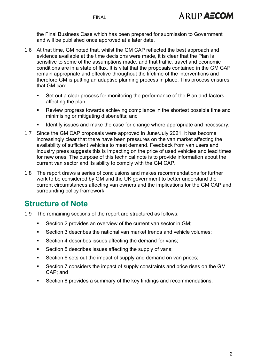the Final Business Case which has been prepared for submission to Government and will be published once approved at a later date.

- 1.6 At that time, GM noted that, whilst the GM CAP reflected the best approach and evidence available at the time decisions were made, it is clear that the Plan is sensitive to some of the assumptions made, and that traffic, travel and economic conditions are in a state of flux. It is vital that the proposals contained in the GM CAP remain appropriate and effective throughout the lifetime of the interventions and therefore GM is putting an adaptive planning process in place. This process ensures that GM can:
	- Set out a clear process for monitoring the performance of the Plan and factors affecting the plan;
	- Review progress towards achieving compliance in the shortest possible time and minimising or mitigating disbenefits; and
	- Identify issues and make the case for change where appropriate and necessary.
- 1.7 Since the GM CAP proposals were approved in June/July 2021, it has become increasingly clear that there have been pressures on the van market affecting the availability of sufficient vehicles to meet demand. Feedback from van users and industry press suggests this is impacting on the price of used vehicles and lead times for new ones. The purpose of this technical note is to provide information about the current van sector and its ability to comply with the GM CAP.
- 1.8 The report draws a series of conclusions and makes recommendations for further work to be considered by GM and the UK government to better understand the current circumstances affecting van owners and the implications for the GM CAP and surrounding policy framework.

#### **Structure of Note**

- 1.9 The remaining sections of the report are structured as follows:
	- Section 2 provides an overview of the current van sector in GM;
	- Section 3 describes the national van market trends and vehicle volumes;
	- Section 4 describes issues affecting the demand for vans;
	- Section 5 describes issues affecting the supply of vans:
	- Section 6 sets out the impact of supply and demand on van prices;
	- Section 7 considers the impact of supply constraints and price rises on the GM CAP; and
	- Section 8 provides a summary of the key findings and recommendations.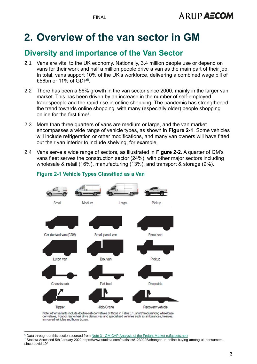ARUP AECOM

## **2. Overview of the van sector in GM**

## **Diversity and importance of the Van Sector**

- 2.1 Vans are vital to the UK economy. Nationally, 3.4 million people use or depend on vans for their work and half a million people drive a van as the main part of their job. In total, vans support 10% of the UK's workforce, delivering a combined wage bill of £56bn or 11% of GDP $^6$ .
- 2.2 There has been a 56% growth in the van sector since 2000, mainly in the larger van market. This has been driven by an increase in the number of self-employed tradespeople and the rapid rise in online shopping. The pandemic has strengthened the trend towards online shopping, with many (especially older) people shopping online for the first time<sup>7</sup>.
- 2.3 More than three quarters of vans are medium or large, and the van market encompasses a wide range of vehicle types, as shown in **[Figure 2-1](#page-3-0)**. Some vehicles will include refrigeration or other modifications, and many van owners will have fitted out their van interior to include shelving, for example.
- 2.4 Vans serve a wide range of sectors, as illustrated in **[Figure 2-2.](#page-4-0)** A quarter of GM's vans fleet serves the construction sector (24%), with other major sectors including wholesale & retail (16%), manufacturing (13%), and transport & storage (9%).



#### <span id="page-3-0"></span>**Figure 2-1 Vehicle Types Classified as a Van**

Note: other variants include double-cab derivatives of those in Table 3.1, short/medium/long wheelbase derivatives, front or rear-wheel drive derivatives and specialised vehicles such as ambulances, hearses, armoured vehicles and horse boxes.

<sup>&</sup>lt;sup>6</sup> Data throughout this section sourced from Note 3 - [GM CAP Analysis of the Freight Market \(ctfassets.net\)](https://assets.ctfassets.net/tlpgbvy1k6h2/sxMVbAwfJrcq3tFd9Thb7/fd8843b6d128ef318da320ee22ca6ac5/3_-_GM_CAP_Analysis_of_the_freight_market.pdf)

<sup>7</sup> Statista Accessed 5th January 2022 https://www.statista.com/statistics/1230225/changes-in-online-buying-among-uk-consumerssince-covid-19/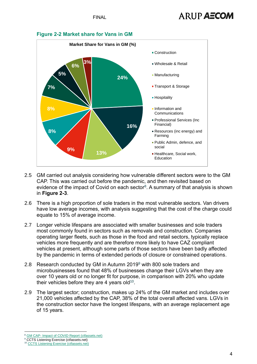

#### <span id="page-4-0"></span>**Figure 2-2 Market share for Vans in GM**

- 2.5 GM carried out analysis considering how vulnerable different sectors were to the GM CAP. This was carried out before the pandemic, and then revisited based on evidence of the impact of Covid on each sector $8$ . A summary of that analysis is shown in **[Figure 2-3](#page-5-0)**.
- 2.6 There is a high proportion of sole traders in the most vulnerable sectors. Van drivers have low average incomes, with analysis suggesting that the cost of the charge could equate to 15% of average income.
- 2.7 Longer vehicle lifespans are associated with smaller businesses and sole traders most commonly found in sectors such as removals and construction. Companies operating larger fleets, such as those in the food and retail sectors, typically replace vehicles more frequently and are therefore more likely to have CAZ compliant vehicles at present, although some parts of those sectors have been badly affected by the pandemic in terms of extended periods of closure or constrained operations.
- 2.8 Research conducted by GM in Autumn 2019<sup>9</sup> with 800 sole traders and microbusinesses found that 48% of businesses change their LGVs when they are over 10 years old or no longer fit for purpose, in comparison with 20% who update their vehicles before they are 4 years old $10$ .
- 2.9 The largest sector; construction, makes up 24% of the GM market and includes over 21,000 vehicles affected by the CAP, 38% of the total overall affected vans. LGVs in the construction sector have the longest lifespans, with an average replacement age of 15 years.

GM CAP- [Impact of COVID Report \(ctfassets.net\)](https://assets.ctfassets.net/tlpgbvy1k6h2/2vJXVuLxfXON7HexGli29Q/4726e8696145d9f10bd1b19c16bdc1dd/Appendix_5_____Impacts_of_COVID-19_Report.pdf)

<sup>&</sup>lt;sup>9</sup> CCTS Listening Exercise (ctfassets.net)

<sup>10</sup> [CCTS Listening Exercise \(ctfassets.net\)](https://assets.ctfassets.net/tlpgbvy1k6h2/5e5iXeGPZwXiSvaTTWgID0/4c93aa82e0d4ec3e5f4f7ddcb29ae9ff/GM_CAP_Survey_and_Interviews_VAN_-_Autumn_2019.pdf)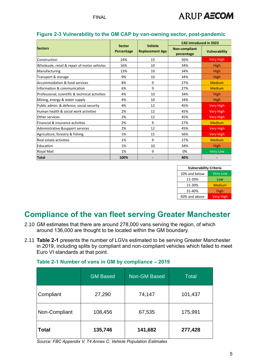

|                                                 |                             |                                          | <b>CAZ introduced in 2023</b>      |                      |
|-------------------------------------------------|-----------------------------|------------------------------------------|------------------------------------|----------------------|
| <b>Sectors</b>                                  | <b>Sector</b><br>Percentage | <b>Vehicle</b><br><b>Replacement Age</b> | <b>Non-compliant</b><br>percentage | <b>Vulnerability</b> |
| Construction                                    | 24%                         | 15                                       | 56%                                | <b>Very High</b>     |
| Wholesale, retail & repair of motor vehicles    | 16%                         | 10                                       | 34%                                | <b>High</b>          |
| Manufacturing                                   | 13%                         | 10                                       | 34%                                | <b>High</b>          |
| Transport & storage                             | 9%                          | 10                                       | 34%                                | <b>High</b>          |
| Accommodation & food services                   | 8%                          | 9                                        | 27%                                | <b>Medium</b>        |
| Information & communication                     | 6%                          | 9                                        | 27%                                | <b>Medium</b>        |
| Professional, scientific & technical activities | 4%                          | 10                                       | 34%                                | <b>High</b>          |
| Mining, energy & water supply                   | 4%                          | 10                                       | 34%                                | High                 |
| Public admin. & defence; social security        | 4%                          | 12                                       | 45%                                | <b>Very High</b>     |
| Human health & social work activities           | 2%                          | 12                                       | 45%                                | <b>Very High</b>     |
| Other services                                  | 2%                          | 12                                       | 45%                                | <b>Very High</b>     |
| Financial & insurance activities                | 2%                          | 9                                        | 27%                                | <b>Medium</b>        |
| Administrative & support services               | 2%                          | 12                                       | 45%                                | <b>Very High</b>     |
| Agriculture, forestry & fishing                 | 1%                          | 15                                       | 56%                                | <b>Very High</b>     |
| Real estate activities                          | 1%                          | 9                                        | 27%                                | <b>Medium</b>        |
| Education                                       | 1%                          | 10                                       | 34%                                | <b>High</b>          |
| Royal Mail                                      | 1%                          | 9                                        | 0%                                 | <b>Very Low</b>      |
| Total                                           | 100%                        |                                          | 40%                                |                      |

#### <span id="page-5-0"></span>**Figure 2-3 Vulnerability to the GM CAP by van-owning sector, post-pandemic**

| <b>Vulnerability Criteria</b> |                  |  |  |
|-------------------------------|------------------|--|--|
| 10% and below                 | <b>Very Low</b>  |  |  |
| 11-20%                        | Low              |  |  |
| 21-30%                        | Medium           |  |  |
| 31-40%                        | High             |  |  |
| 40% and above                 | <b>Very High</b> |  |  |

#### **Compliance of the van fleet serving Greater Manchester**

- 2.10 GM estimates that there are around 278,000 vans serving the region, of which around 136,000 are thought to be located within the GM boundary.
- 2.11 **[Table 2-1](#page-5-1)** presents the number of LGVs estimated to be serving Greater Manchester in 2019, including splits by compliant and non-compliant vehicles which failed to meet Euro VI standards at that point.

|               | <b>GM Based</b> | Non-GM Based | Total   |
|---------------|-----------------|--------------|---------|
| Compliant     | 27,290          | 74,147       | 101,437 |
| Non-Compliant | 108,456         | 67,535       | 175,991 |
| <b>Total</b>  | 135,746         | 141,682      | 277,428 |

#### <span id="page-5-1"></span>**Table 2-1 Number of vans in GM by compliance – 2019**

*Source: FBC Appendix V, T4 Annex C: Vehicle Population Estimates*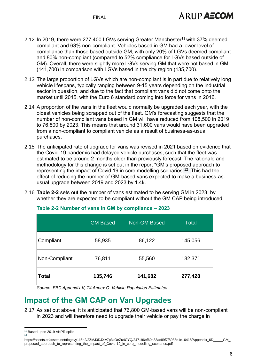**FINAL** 

- 2.12 In 2019, there were 277,400 LGVs serving Greater Manchester<sup>11</sup> with 37% deemed compliant and 63% non-compliant. Vehicles based in GM had a lower level of compliance than those based outside GM, with only 20% of LGVs deemed compliant and 80% non-compliant (compared to 52% compliance for LGVs based outside of GM). Overall, there were slightly more LGVs serving GM that were not based in GM (141,700) in comparison with LGVs based in the city region (135,700).
- 2.13 The large proportion of LGVs which are non-compliant is in part due to relatively long vehicle lifespans, typically ranging between 9-15 years depending on the industrial sector in question, and due to the fact that compliant vans did not come onto the market until 2015, with the Euro 6 standard coming into force for vans in 2016.
- 2.14 A proportion of the vans in the fleet would normally be upgraded each year, with the oldest vehicles being scrapped out of the fleet. GM's forecasting suggests that the number of non-compliant vans based in GM will have reduced from 108,500 in 2019 to 76,800 by 2023. This means that around 31,600 vans would have been upgraded from a non-compliant to compliant vehicle as a result of business-as-usual purchases.
- 2.15 The anticipated rate of upgrade for vans was revised in 2021 based on evidence that the Covid-19 pandemic had delayed vehicle purchases, such that the fleet was estimated to be around 2 months older than previously forecast. The rationale and methodology for this change is set out in the report "GM's proposed approach to representing the impact of Covid 19 in core modelling scenarios"<sup>12</sup>. This had the effect of reducing the number of GM-based vans expected to make a business-asusual upgrade between 2019 and 2023 by 1.4k.
- 2.16 **[Table 2-2](#page-6-0)** sets out the number of vans estimated to be serving GM in 2023, by whether they are expected to be compliant without the GM CAP being introduced.

|               | <b>GM Based</b> | Non-GM Based | <b>Total</b> |
|---------------|-----------------|--------------|--------------|
| Compliant     | 58,935          | 86,122       | 145,056      |
| Non-Compliant | 76,811          | 55,560       | 132,371      |
| <b>Total</b>  | 135,746         | 141,682      | 277,428      |

<span id="page-6-0"></span>**Table 2-2 Number of vans in GM by compliance – 2023**

*Source: FBC Appendix V, T4 Annex C: Vehicle Population Estimates*

## **Impact of the GM CAP on Van Upgrades**

2.17 As set out above, it is anticipated that 76,800 GM-based vans will be non-compliant in 2023 and will therefore need to upgrade their vehicle or pay the charge in

<sup>&</sup>lt;sup>11</sup> Based upon 2019 ANPR splits 12

https://assets.ctfassets.net/tlpgbvy1k6h2/2ZMJ3DJXiv7p3xOeZu4CYQ/247196ef60e33ac89f7f8938e1e16418/Appendix\_6D\_\_\_\_\_GM proposed\_approach\_to\_representing\_the\_impact\_of\_Covid-19\_in\_core\_modelling\_scenarios.pdf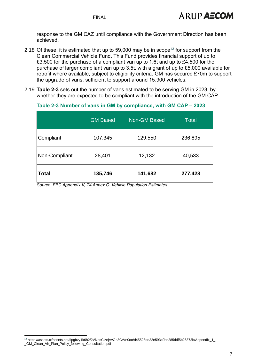response to the GM CAZ until compliance with the Government Direction has been achieved.

- 2.18 Of these, it is estimated that up to 59,000 may be in scope<sup>13</sup> for support from the Clean Commercial Vehicle Fund. This Fund provides financial support of up to £3,500 for the purchase of a compliant van up to 1.6t and up to £4,500 for the purchase of larger compliant van up to 3.5t, with a grant of up to £5,000 available for retrofit where available, subject to eligibility criteria. GM has secured £70m to support the upgrade of vans, sufficient to support around 15,900 vehicles.
- 2.19 **[Table 2-3](#page-7-0)** sets out the number of vans estimated to be serving GM in 2023, by whether they are expected to be compliant with the introduction of the GM CAP.

|               | <b>GM Based</b> | <b>Non-GM Based</b> | <b>Total</b> |
|---------------|-----------------|---------------------|--------------|
| Compliant     | 107,345         | 129,550             | 236,895      |
| Non-Compliant | 28,401          | 12,132              | 40,533       |
| <b>Total</b>  | 135,746         | 141,682             | 277,428      |

#### <span id="page-7-0"></span>**Table 2-3 Number of vans in GM by compliance, with GM CAP – 2023**

*Source: FBC Appendix V, T4 Annex C: Vehicle Population Estimates*

<sup>13</sup> https://assets.ctfassets.net/tlpgbvy1k6h2/2VNncClzejAvGh3CrVn0oo/d45528de22e593c9be285ddf5b26373b/Appendix\_1\_-\_GM\_Clean\_Air\_Plan\_Policy\_following\_Consultation.pdf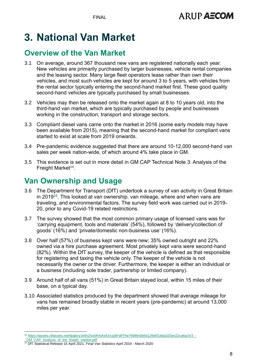FINAL

# **3. National Van Market**

## **Overview of the Van Market**

- 3.1 On average, around 367 thousand new vans are registered nationally each year. New vehicles are primarily purchased by larger businesses, vehicle rental companies and the leasing sector. Many large fleet operators lease rather than own their vehicles, and most such vehicles are kept for around 3 to 5 years, with vehicles from the rental sector typically entering the second-hand market first. These good quality second-hand vehicles are typically purchased by small businesses.
- 3.2 Vehicles may then be released onto the market again at 8 to 10 years old, into the third-hand van market, which are typically purchased by people and businesses working in the construction, transport and storage sectors.
- 3.3 Compliant diesel vans came onto the market in 2016 (some early models may have been available from 2015), meaning that the second-hand market for compliant vans started to exist at scale from 2019 onwards.
- 3.4 Pre-pandemic evidence suggested that there are around 10-12,000 second-hand van sales per week nation-wide, of which around 4% take place in GM.
- 3.5 This evidence is set out in more detail in GM CAP Technical Note 3: Analysis of the Freight Market<sup>14</sup>.

## **Van Ownership and Usage**

- 3.6 The Department for Transport (DfT) undertook a survey of van activity in Great Britain in 2019<sup>15</sup>. This looked at van ownership, van mileage, where and when vans are traveling, and environmental factors. The survey field work was carried out in 2019- 20, prior to any Covid-19 related restrictions.
- 3.7 The survey showed that the most common primary usage of licensed vans was for 'carrying equipment, tools and materials' (54%), followed by 'delivery/collection of goods' (16%) and 'private/domestic non-business use' (16%).
- 3.8 Over half (57%) of business kept vans were new; 35% owned outright and 22% owned via a hire purchase agreement. Most privately kept vans were second-hand (82%). Within the DfT survey, the keeper of the vehicle is defined as that responsible for registering and taxing the vehicle only. The keeper of the vehicle is not necessarily the owner or the driver. Furthermore, the keeper is either an individual or a business (including sole trader, partnership or limited company).
- 3.9 Around half of all vans (51%) in Great Britain stayed local, within 15 miles of their base, on a typical day.
- 3.10 Associated statistics produced by the department showed that average mileage for vans has remained broadly stable in recent years (pre-pandemic) at around 13,000 miles per year.

<sup>14</sup> [https://assets.ctfassets.net/tlpgbvy1k6h2/sxMVbAwfJrcq3tFd9Thb7/fd8843b6d128ef318da320ee22ca6ac5/3\\_-](https://assets.ctfassets.net/tlpgbvy1k6h2/sxMVbAwfJrcq3tFd9Thb7/fd8843b6d128ef318da320ee22ca6ac5/3_-_GM_CAP_Analysis_of_the_freight_market.pdf)

GM\_CAP\_Analysis\_of\_the\_freight\_market.pdf

<sup>15</sup> DfT Statistical Release 15 April 2021, Final Van Statistics April 2019 - March 2020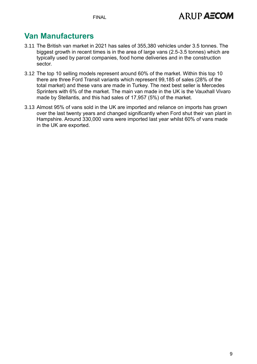**FINAL** 

### **Van Manufacturers**

- 3.11 The British van market in 2021 has sales of 355,380 vehicles under 3.5 tonnes. The biggest growth in recent times is in the area of large vans (2.5-3.5 tonnes) which are typically used by parcel companies, food home deliveries and in the construction sector.
- 3.12 The top 10 selling models represent around 60% of the market. Within this top 10 there are three Ford Transit variants which represent 99,185 of sales (28% of the total market) and these vans are made in Turkey. The next best seller is Mercedes Sprinters with 6% of the market. The main van made in the UK is the Vauxhall Vivaro made by Stellantis, and this had sales of 17,957 (5%) of the market.
- 3.13 Almost 95% of vans sold in the UK are imported and reliance on imports has grown over the last twenty years and changed significantly when Ford shut their van plant in Hampshire. Around 330,000 vans were imported last year whilst 60% of vans made in the UK are exported.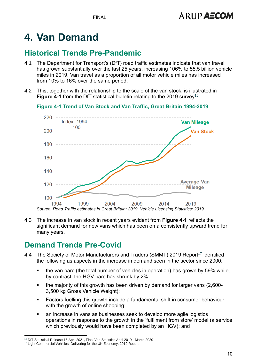# **4. Van Demand**

## **Historical Trends Pre-Pandemic**

- 4.1 The Department for Transport's (DfT) road traffic estimates indicate that van travel has grown substantially over the last 25 years, increasing 106% to 55.5 billion vehicle miles in 2019. Van travel as a proportion of all motor vehicle miles has increased from 10% to 16% over the same period.
- 4.2 This, together with the relationship to the scale of the van stock, is illustrated in [Figure 4-1](#page-10-0) from the DfT statistical bulletin relating to the 2019 survey<sup>16</sup>.

<span id="page-10-0"></span>**Figure 4-1 Trend of Van Stock and Van Traffic, Great Britain 1994-2019**



4.3 The increase in van stock in recent years evident from **[Figure 4-1](#page-10-0)** reflects the significant demand for new vans which has been on a consistently upward trend for many years.

## **Demand Trends Pre-Covid**

- 4.4 The Society of Motor Manufacturers and Traders (SMMT) 2019 Report<sup>17</sup> identified the following as aspects in the increase in demand seen in the sector since 2000:
	- the van parc (the total number of vehicles in operation) has grown by 59% while, by contrast, the HGV parc has shrunk by 2%;
	- the majority of this growth has been driven by demand for larger vans (2,600- 3,500 kg Gross Vehicle Weight);
	- Factors fuelling this growth include a fundamental shift in consumer behaviour with the growth of online shopping;
	- an increase in vans as businesses seek to develop more agile logistics operations in response to the growth in the 'fulfilment from store' model (a service which previously would have been completed by an HGV); and

<sup>16</sup> DfT Statistical Release 15 April 2021, Final Van Statistics April 2019 - March 2020

<sup>&</sup>lt;sup>17</sup> Light Commercial Vehicles, Delivering for the UK Economy, 2019 Report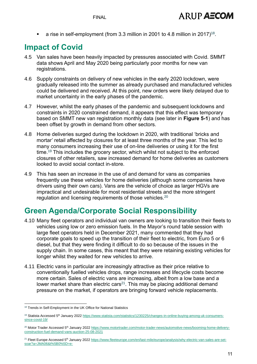**a** rise in self-employment (from 3.3 million in 2001 to 4.8 million in 2017)<sup>18</sup>.

### **Impact of Covid**

- 4.5 Van sales have been heavily impacted by pressures associated with Covid. SMMT data shows April and May 2020 being particularly poor months for new van registrations.
- 4.6 Supply constraints on delivery of new vehicles in the early 2020 lockdown, were gradually released into the summer as already purchased and manufactured vehicles could be delivered and received. At this point, new orders were likely delayed due to market uncertainty in the early phases of the pandemic.
- 4.7 However, whilst the early phases of the pandemic and subsequent lockdowns and constraints in 2020 constrained demand, it appears that this effect was temporary based on SMMT new van registration monthly data (see later in **[Figure 5-1](#page-15-0)**) and has been offset by growth in demand from other sectors.
- 4.8 Home deliveries surged during the lockdown in 2020, with traditional 'bricks and mortar' retail affected by closures for at least three months of the year. This led to many consumers increasing their use of on-line deliveries or using it for the first time.<sup>19</sup> This includes the grocery sector, which whilst not subject to the enforced closures of other retailers, saw increased demand for home deliveries as customers looked to avoid social contact in-store.
- 4.9 This has seen an increase in the use of and demand for vans as companies frequently use these vehicles for home deliveries (although some companies have drivers using their own cars). Vans are the vehicle of choice as larger HGVs are impractical and undesirable for most residential streets and the more stringent regulation and licensing requirements of those vehicles. $20$

### **Green Agenda/Corporate Social Responsibility**

- 4.10 Many fleet operators and individual van owners are looking to transition their fleets to vehicles using low or zero emission fuels. In the Mayor's round table session with large fleet operators held in December 2021, many commented that they had corporate goals to speed up the transition of their fleet to electric, from Euro 5 or 6 diesel, but that they were finding it difficult to do so because of the issues in the supply chain. In some cases, this meant that they were retaining existing vehicles for longer whilst they waited for new vehicles to arrive.
- 4.11 Electric vans in particular are increasingly attractive as their price relative to conventionally fuelled vehicles drops, range increases and lifecycle costs become more certain. Sales of electric vans are increasing, albeit from a low base and a lower market share than electric cars<sup>21</sup>. This may be placing additional demand pressure on the market, if operators are bringing forward vehicle replacements.

<sup>&</sup>lt;sup>18</sup> Trends in Self-Employment in the UK Office for National Statistics

<sup>&</sup>lt;sup>19</sup> Statista Accessed 5<sup>th</sup> January 2022 [https://www.statista.com/statistics/1230225/changes-in-online-buying-among-uk-consumers](https://www.statista.com/statistics/1230225/changes-in-online-buying-among-uk-consumers-since-covid-19/)[since-covid-19/](https://www.statista.com/statistics/1230225/changes-in-online-buying-among-uk-consumers-since-covid-19/)

<sup>&</sup>lt;sup>20</sup> Motor Trader Accessed 5<sup>th</sup> January 202[2 https://www.motortrader.com/motor-trader-news/automotive-news/booming-home-delivery](https://www.motortrader.com/motor-trader-news/automotive-news/booming-home-delivery-construction-fuel-demand-vans-auction-25-08-2021)[construction-fuel-demand-vans-auction-25-08-2021](https://www.motortrader.com/motor-trader-news/automotive-news/booming-home-delivery-construction-fuel-demand-vans-auction-25-08-2021)

<sup>&</sup>lt;sup>21</sup> Fleet Europe Accessed 5<sup>th</sup> January 2022 [https://www.fleeteurope.com/en/last-mile/europe/analysis/why-electric-van-sales-are-set](https://www.fleeteurope.com/en/last-mile/europe/analysis/why-electric-van-sales-are-set-soar?a=JMA06&t%5B0%5D=e-LCV&t%5B1%5D=Dataforce&t%5B2%5D=Arrival&t%5B3%5D=EV100&t%5B4%5D=Renault&t%5B5%5D=Nissan&t%5B6%5D=Mercedes-Benz%20Vans&curl=1)[soar?a=JMA06&t%5B0%5D=e-](https://www.fleeteurope.com/en/last-mile/europe/analysis/why-electric-van-sales-are-set-soar?a=JMA06&t%5B0%5D=e-LCV&t%5B1%5D=Dataforce&t%5B2%5D=Arrival&t%5B3%5D=EV100&t%5B4%5D=Renault&t%5B5%5D=Nissan&t%5B6%5D=Mercedes-Benz%20Vans&curl=1)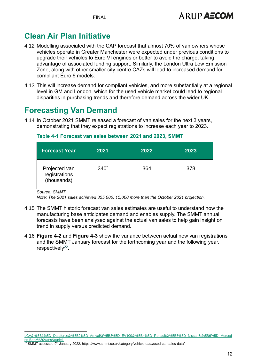FINAL

## **Clean Air Plan Initiative**

- 4.12 Modelling associated with the CAP forecast that almost 70% of van owners whose vehicles operate in Greater Manchester were expected under previous conditions to upgrade their vehicles to Euro VI engines or better to avoid the charge, taking advantage of associated funding support. Similarly, the London Ultra Low Emission Zone, along with other smaller city centre CAZs will lead to increased demand for compliant Euro 6 models.
- 4.13 This will increase demand for compliant vehicles, and more substantially at a regional level in GM and London, which for the used vehicle market could lead to regional disparities in purchasing trends and therefore demand across the wider UK.

### **Forecasting Van Demand**

4.14 In October 2021 SMMT released a forecast of van sales for the next 3 years, demonstrating that they expect registrations to increase each year to 2023.

#### <span id="page-12-0"></span>**Table 4-1 Forecast van sales between 2021 and 2023, SMMT**

| <b>Forecast Year</b>                          | 2021            | 2022 | 2023 |
|-----------------------------------------------|-----------------|------|------|
| Projected van<br>registrations<br>(thousands) | $340^{\degree}$ | 364  | 378  |

*Source: SMMT*

*Note: The 2021 sales achieved 355,000, 15,000 more than the October 2021 projection.*

- 4.15 The SMMT historic forecast van sales estimates are useful to understand how the manufacturing base anticipates demand and enables supply. The SMMT annual forecasts have been analysed against the actual van sales to help gain insight on trend in supply versus predicted demand.
- 4.16 **[Figure 4-2](#page-13-0)** and **[Figure 4-3](#page-13-1)** show the variance between actual new van registrations and the SMMT January forecast for the forthcoming year and the following year, respectively<sup>22</sup>.

[LCV&t%5B1%5D=Dataforce&t%5B2%5D=Arrival&t%5B3%5D=EV100&t%5B4%5D=Renault&t%5B5%5D=Nissan&t%5B6%5D=Merced](https://www.fleeteurope.com/en/last-mile/europe/analysis/why-electric-van-sales-are-set-soar?a=JMA06&t%5B0%5D=e-LCV&t%5B1%5D=Dataforce&t%5B2%5D=Arrival&t%5B3%5D=EV100&t%5B4%5D=Renault&t%5B5%5D=Nissan&t%5B6%5D=Mercedes-Benz%20Vans&curl=1) [es-Benz%20Vans&curl=1](https://www.fleeteurope.com/en/last-mile/europe/analysis/why-electric-van-sales-are-set-soar?a=JMA06&t%5B0%5D=e-LCV&t%5B1%5D=Dataforce&t%5B2%5D=Arrival&t%5B3%5D=EV100&t%5B4%5D=Renault&t%5B5%5D=Nissan&t%5B6%5D=Mercedes-Benz%20Vans&curl=1)

<sup>22</sup> SMMT accessed 9<sup>th</sup> January 2022, https://www.smmt.co.uk/category/vehicle-data/used-car-sales-data/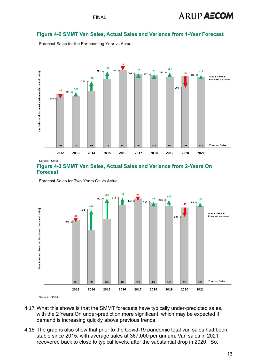## **ARUP AECOM**

#### <span id="page-13-0"></span>**Figure 4-2 SMMT Van Sales, Actual Sales and Variance from 1-Year Forecast**

Forecast Sales for the Forthcoming Year vs Actual



Source: SMMT

<span id="page-13-1"></span>

Forecast Sales for Two Years On vs Actual



- 4.17 What this shows is that the SMMT forecasts have typically under-predicted sales, with the 2 Years On under-prediction more significant, which may be expected if demand is increasing quickly above previous trends.
- 4.18 The graphs also show that prior to the Covid-19 pandemic total van sales had been stable since 2015, with average sales at 367,000 per annum. Van sales in 2021 recovered back to close to typical levels, after the substantial drop in 2020. So,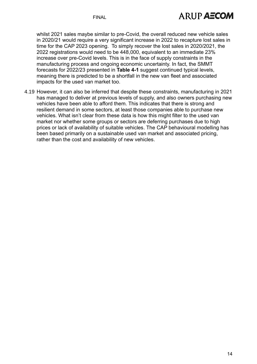whilst 2021 sales maybe similar to pre-Covid, the overall reduced new vehicle sales in 2020/21 would require a very significant increase in 2022 to recapture lost sales in time for the CAP 2023 opening. To simply recover the lost sales in 2020/2021, the 2022 registrations would need to be 448,000, equivalent to an immediate 23% increase over pre-Covid levels. This is in the face of supply constraints in the manufacturing process and ongoing economic uncertainty. In fact, the SMMT forecasts for 2022/23 presented in **[Table 4-1](#page-12-0)** suggest continued typical levels, meaning there is predicted to be a shortfall in the new van fleet and associated impacts for the used van market too.

4.19 However, it can also be inferred that despite these constraints, manufacturing in 2021 has managed to deliver at previous levels of supply, and also owners purchasing new vehicles have been able to afford them. This indicates that there is strong and resilient demand in some sectors, at least those companies able to purchase new vehicles. What isn't clear from these data is how this might filter to the used van market nor whether some groups or sectors are deferring purchases due to high prices or lack of availability of suitable vehicles. The CAP behavioural modelling has been based primarily on a sustainable used van market and associated pricing, rather than the cost and availability of new vehicles.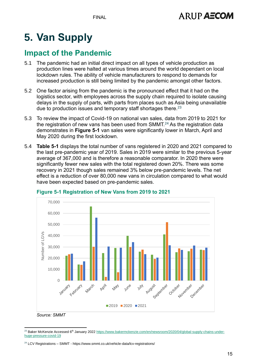# **5. Van Supply**

### **Impact of the Pandemic**

- 5.1 The pandemic had an initial direct impact on all types of vehicle production as production lines were halted at various times around the world dependant on local lockdown rules. The ability of vehicle manufacturers to respond to demands for increased production is still being limited by the pandemic amongst other factors.
- 5.2 One factor arising from the pandemic is the pronounced effect that it had on the logistics sector, with employees across the supply chain required to isolate causing delays in the supply of parts, with parts from places such as Asia being unavailable due to production issues and temporary staff shortages there.<sup>23</sup>
- 5.3 To review the impact of Covid-19 on national van sales, data from 2019 to 2021 for the registration of new vans has been used from  $SMMT<sup>24</sup>$  As the registration data demonstrates in **[Figure 5-1](#page-15-0)** van sales were significantly lower in March, April and May 2020 during the first lockdown.
- 5.4 **[Table 5-1](#page-16-0)** displays the total number of vans registered in 2020 and 2021 compared to the last pre-pandemic year of 2019. Sales in 2019 were similar to the previous 5-year average of 367,000 and is therefore a reasonable comparator. In 2020 there were significantly fewer new sales with the total registered down 20%. There was some recovery in 2021 though sales remained 3% below pre-pandemic levels. The net effect is a reduction of over 80,000 new vans in circulation compared to what would have been expected based on pre-pandemic sales.



#### <span id="page-15-0"></span>**Figure 5-1 Registration of New Vans from 2019 to 2021**

*Source: SMMT*

<sup>&</sup>lt;sup>23</sup> Baker McKenzie Accessed 6<sup>th</sup> January 202[2 https://www.bakermckenzie.com/en/newsroom/2020/04/global-supply-chains-under](https://www.bakermckenzie.com/en/newsroom/2020/04/global-supply-chains-under-huge-pressure-covid-19)[huge-pressure-covid-19](https://www.bakermckenzie.com/en/newsroom/2020/04/global-supply-chains-under-huge-pressure-covid-19)

<sup>&</sup>lt;sup>24</sup> LCV Registrations – SMMT - https://www.smmt.co.uk/vehicle-data/lcv-registrations/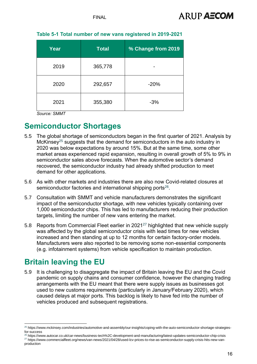| Year | <b>Total</b> | % Change from 2019 |
|------|--------------|--------------------|
| 2019 | 365,778      |                    |
| 2020 | 292,657      | $-20%$             |
| 2021 | 355,380      | $-3%$              |

#### <span id="page-16-0"></span>**Table 5-1 Total number of new vans registered in 2019-2021**

*Source: SMMT*

#### **Semiconductor Shortages**

- 5.5 The global shortage of semiconductors began in the first quarter of 2021. Analysis by McKinsey<sup>25</sup> suggests that the demand for semiconductors in the auto industry in 2020 was below expectations by around 15%. But at the same time, some other market areas experienced rapid expansion, resulting in overall growth of 5% to 9% in semiconductor sales above forecasts. When the automotive sector's demand recovered, the semiconductor industry had already shifted production to meet demand for other applications.
- 5.6 As with other markets and industries there are also now Covid-related closures at semiconductor factories and international shipping ports<sup>26</sup>.
- 5.7 Consultation with SMMT and vehicle manufacturers demonstrates the significant impact of the semiconductor shortage, with new vehicles typically containing over 1,000 semiconductor chips. This has led to manufacturers reducing their production targets, limiting the number of new vans entering the market.
- 5.8 Reports from Commercial Fleet earlier in 2021<sup>27</sup> highlighted that new vehicle supply was affected by the global semiconductor crisis with lead times for new vehicles increased and then standing at up to 12 months for certain factory-order models. Manufacturers were also reported to be removing some non-essential components (e.g. infotainment systems) from vehicle specification to maintain production.

### **Britain leaving the EU**

5.9 It is challenging to disaggregate the impact of Britain leaving the EU and the Covid pandemic on supply chains and consumer confidence, however the changing trading arrangements with the EU meant that there were supply issues as businesses got used to new customs requirements (particularly in January/February 2020), which caused delays at major ports. This backlog is likely to have fed into the number of vehicles produced and subsequent registrations.

<sup>25</sup> https://www.mckinsey.com/industries/automotive-and-assembly/our-insights/coping-with-the-auto-semiconductor-shortage-strategiesfor-success

<sup>26</sup> https://www.autocar.co.uk/car-news/business-tech%2C-development-and-manufacturing/latest-updates-semiconductor-chip-crisis <sup>27</sup> https://www.commercialfleet.org/news/van-news/2021/04/28/used-lcv-prices-to-rise-as-semiconductor-supply-crisis-hits-new-vanproduction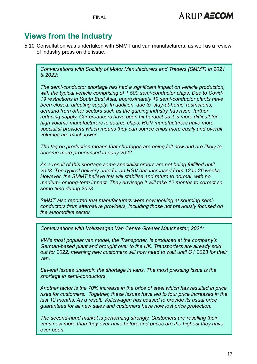#### **Views from the Industry**

5.10 Consultation was undertaken with SMMT and van manufacturers, as well as a review of industry press on the issue.

*Conversations with Society of Motor Manufacturers and Traders (SMMT) in 2021 & 2022:*

*The semi-conductor shortage has had a significant impact on vehicle production, with the typical vehicle comprising of 1,500 semi-conductor chips. Due to Covid-19 restrictions in South East Asia, approximately 19 semi-conductor plants have been closed, affecting supply. In addition, due to 'stay-at-home' restrictions, demand from other sectors such as the gaming industry has risen, further reducing supply. Car producers have been hit hardest as it is more difficult for high volume manufacturers to source chips. HGV manufacturers have more specialist providers which means they can source chips more easily and overall volumes are much lower.* 

*The lag on production means that shortages are being felt now and are likely to become more pronounced in early 2022.* 

*As a result of this shortage some specialist orders are not being fulfilled until 2023. The typical delivery date for an HGV has increased from 12 to 26 weeks. However, the SMMT believe this will stabilise and return to normal, with no medium- or long-term impact. They envisage it will take 12 months to correct so some time during 2023.* 

*SMMT also reported that manufacturers were now looking at sourcing semiconductors from alternative providers, including those not previously focused on the automotive sector*

*Conversations with Volkswagen Van Centre Greater Manchester, 2021:*

*VW's most popular van model, the Transporter, is produced at the company's German-based plant and brought over to the UK. Transporters are already sold out for 2022, meaning new customers will now need to wait until Q1 2023 for their van.* 

*Several issues underpin the shortage in vans. The most pressing issue is the shortage in semi-conductors.* 

*Another factor is the 70% increase in the price of steel which has resulted in price rises for customers. Together, these issues have led to four price increases in the last 12 months. As a result, Volkswagen has ceased to provide its usual price guarantees for all new sales and customers have now lost price protection.* 

*The second-hand market is performing strongly. Customers are reselling their vans now more than they ever have before and prices are the highest they have ever been*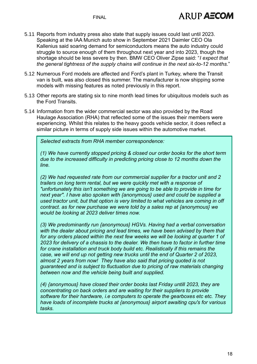- 5.11 Reports from industry press also state that supply issues could last until 2023. Speaking at the IAA Munich auto show in September 2021 Daimler CEO Ola Kallenius said soaring demand for semiconductors means the auto industry could struggle to source enough of them throughout next year and into 2023, though the shortage should be less severe by then. BMW CEO Oliver Zipse said: "*I expect that the general tightness of the supply chains will continue in the next six-to-12 months.*"
- 5.12 Numerous Ford models are affected and Ford's plant in Turkey, where the Transit van is built, was also closed this summer. The manufacturer is now shipping some models with missing features as noted previously in this report.
- 5.13 Other reports are stating six to nine month lead times for ubiquitous models such as the Ford Transits.
- 5.14 Information from the wider commercial sector was also provided by the Road Haulage Association (RHA) that reflected some of the issues their members were experiencing. Whilst this relates to the heavy goods vehicle sector, it does reflect a similar picture in terms of supply side issues within the automotive market.

*Selected extracts from RHA member correspondence:*

*(1) We have currently stopped pricing & closed our order books for the short term due to the increased difficulty in predicting pricing close to 12 months down the line.*

*(2) We had requested rate from our commercial supplier for a tractor unit and 2 trailers on long term rental, but we were quickly met with a response of "unfortunately this isn't something we are going to be able to provide in time for next year". I have also spoken with {anonymous} used and could be supplied a used tractor unit, but that option is very limited to what vehicles are coming in off contract. as for new purchase we were told by a sales rep at {anonymous} we would be looking at 2023 deliver times now.*

*(3) We predominantly run {anonymous} HGVs. Having had a verbal conversation with the dealer about pricing and lead times, we have been advised by them that for any orders placed within the next few weeks we will be looking at quarter 1 of 2023 for delivery of a chassis to the dealer. We then have to factor in further time for crane installation and truck body build etc. Realistically if this remains the case, we will end up not getting new trucks until the end of Quarter 2 of 2023, almost 2 years from now! They have also said that pricing quoted is not guaranteed and is subject to fluctuation due to pricing of raw materials changing between now and the vehicle being built and supplied.*

*(4) {anonymous} have closed their order books last Friday untill 2023, they are concentrating on back orders and are waiting for their suppliers to provide software for their hardware, i.e computers to operate the gearboxes etc etc. They have loads of incomplete trucks at {anonymous} airport awaiting cpu's for various tasks.*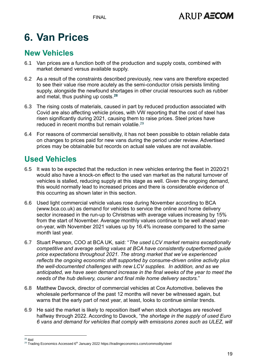FINAL

# **6. Van Prices**

### **New Vehicles**

- 6.1 Van prices are a function both of the production and supply costs, combined with market demand versus available supply.
- 6.2 As a result of the constraints described previously, new vans are therefore expected to see their value rise more acutely as the semi-conductor crisis persists limiting supply, alongside the newfound shortages in other crucial resources such as rubber and metal, thus pushing up costs.**<sup>28</sup>**
- 6.3 The rising costs of materials, caused in part by reduced production associated with Covid are also affecting vehicle prices, with VW reporting that the cost of steel has risen significantly during 2021, causing them to raise prices. Steel prices have reduced in recent months but remain volatile.<sup>29</sup>
- 6.4 For reasons of commercial sensitivity, it has not been possible to obtain reliable data on changes to prices paid for new vans during the period under review. Advertised prices may be obtainable but records on actual sale values are not available.

## **Used Vehicles**

- 6.5 It was to be expected that the reduction in new vehicles entering the fleet in 2020/21 would also have a knock-on effect to the used van market as the natural turnover of vehicles is stalled, reducing supply at this stage as well. Given the ongoing demand, this would normally lead to increased prices and there is considerable evidence of this occurring as shown later in this section.
- 6.6 Used light commercial vehicle values rose during November according to BCA [\(www.bca.co.uk\)](file:///C:/Users/mohanf/Downloads/www.bca.co.uk) as demand for vehicles to service the online and home delivery sector increased in the run-up to Christmas with average values increasing by 15% from the start of November. Average monthly values continue to be well ahead yearon-year, with November 2021 values up by 16.4% increase compared to the same month last year.
- 6.7 Stuart Pearson, COO at BCA UK, said: "*The used LCV market remains exceptionally competitive and average selling values at BCA have consistently outperformed guide price expectations throughout 2021. The strong market that we've experienced reflects the ongoing economic shift supported by consume-driven online activity plus the well-documented challenges with new LCV supplies. In addition, and as we anticipated, we have seen demand increase in the final weeks of the year to meet the needs of the hub delivery, courier and final mile home delivery sectors.*"
- 6.8 Matthew Davock, director of commercial vehicles at Cox Automotive, believes the wholesale performance of the past 12 months will never be witnessed again, but warns that the early part of next year, at least, looks to continue similar trends.
- 6.9 He said the market is likely to reposition itself when stock shortages are resolved halfway through 2022. According to Davock, "*the shortage in the supply of used Euro 6 vans and demand for vehicles that comply with emissions zones such as ULEZ, will*

 $28$  Ibid

<sup>&</sup>lt;sup>29</sup> Trading Economics Accessed 6<sup>th</sup> January 2022 https://tradingeconomics.com/commodity/steel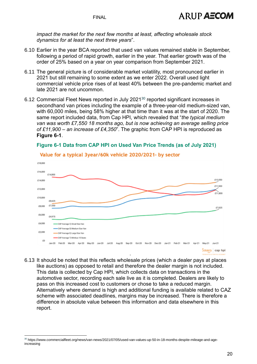*impact the market for the next few months at least, affecting wholesale stock dynamics for at least the next three years*".

- 6.10 Earlier in the year BCA reported that used van values remained stable in September, following a period of rapid growth, earlier in the year. That earlier growth was of the order of 25% based on a year on year comparison from September 2021.
- 6.11 The general picture is of considerable market volatility, most pronounced earlier in 2021 but still remaining to some extent as we enter 2022. Overall used light commercial vehicle price rises of at least 40% between the pre-pandemic market and late 2021 are not uncommon.
- 6.12 Commercial Fleet News reported in July 2021<sup>30</sup> reported significant increases in secondhand van prices including the example of a three-year-old medium-sized van, with 60,000 miles, being 58% higher at that time than it was at the start of 2020. The same report included data, from Cap HPI, which revealed that "*the typical medium van was worth £7,550 18 months ago, but is now achieving an average selling price of £11,900 – an increase of £4,350*". The graphic from CAP HPI is reproduced as **[Figure 6-1](#page-20-0)**.



#### <span id="page-20-0"></span>**Figure 6-1 Data from CAP HPI on Used Van Price Trends (as of July 2021)**

6.13 It should be noted that this reflects wholesale prices (which a dealer pays at places like auctions) as opposed to retail and therefore the dealer margin is not included. This data is collected by Cap HPI, which collects data on transactions in the automotive sector, recording each sale live as it is completed. Dealers are likely to pass on this increased cost to customers or chose to take a reduced margin. Alternatively where demand is high and additional funding is available related to CAZ scheme with associated deadlines, margins may be increased. There is therefore a difference in absolute value between this information and data elsewhere in this report.

#### Value for a typical 3year/60k vehicle 2020/2021- by sector

<sup>30</sup> https://www.commercialfleet.org/news/van-news/2021/07/05/used-van-values-up-50-in-18-months-despite-mileage-and-ageincreasing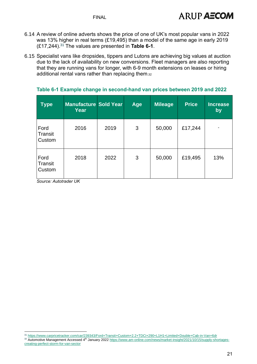- 6.14 A review of online adverts shows the price of one of UK's most popular vans in 2022 was 13% higher in real terms (£19,495) than a model of the same age in early 2019 (£17,244).<sup>31</sup> The values are presented in **[Table 6-1](#page-21-0)**.
- 6.15 Specialist vans like dropsides, tippers and Lutons are achieving big values at auction due to the lack of availability on new conversions. Fleet managers are also reporting that they are running vans for longer, with 6-9 month extensions on leases or hiring additional rental vans rather than replacing them.32

| <b>Type</b>               | <b>Manufacture Sold Year</b><br>Year |      | Age | <b>Mileage</b> | <b>Price</b> | <b>Increase</b><br>by    |
|---------------------------|--------------------------------------|------|-----|----------------|--------------|--------------------------|
| Ford<br>Transit<br>Custom | 2016                                 | 2019 | 3   | 50,000         | £17,244      | $\overline{\phantom{a}}$ |
| Ford<br>Transit<br>Custom | 2018                                 | 2022 | 3   | 50,000         | £19,495      | 13%                      |

#### <span id="page-21-0"></span>**Table 6-1 Example change in second-hand van prices between 2019 and 2022**

*Source: Autotrader UK*

<sup>31</sup> <https://www.carpricetracker.com/car/239343/Ford+Transit+Custom+2.2+TDCi+290+L1H1+Limited+Double+Cab-in-Van+6dr>

<sup>32</sup> Automotive Management Accessed 4<sup>th</sup> January 2022 [https://www.am-online.com/news/market-insight/2021/10/15/supply-shortages](https://www.am-online.com/news/market-insight/2021/10/15/supply-shortages-creating-perfect-storm-for-van-sector)[creating-perfect-storm-for-van-sector](https://www.am-online.com/news/market-insight/2021/10/15/supply-shortages-creating-perfect-storm-for-van-sector)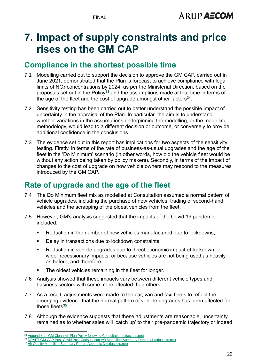# **7. Impact of supply constraints and price rises on the GM CAP**

#### **Compliance in the shortest possible time**

- 7.1 Modelling carried out to support the decision to approve the GM CAP, carried out in June 2021, demonstrated that the Plan is forecast to achieve compliance with legal limits of NO<sup>2</sup> concentrations by 2024, as per the Ministerial Direction, based on the proposals set out in the Policy<sup>33</sup> and the assumptions made at that time in terms of the age of the fleet and the cost of upgrade amongst other factors $^{34}$ .
- 7.2 Sensitivity testing has been carried out to better understand the possible impact of uncertainty in the appraisal of the Plan. In particular, the aim is to understand whether variations in the assumptions underpinning the modelling, or the modelling methodology, would lead to a different decision or outcome, or conversely to provide additional confidence in the conclusions.
- 7.3 The evidence set out in this report has implications for two aspects of the sensitivity testing. Firstly, in terms of the rate of business-as-usual upgrades and the age of the fleet in the 'Do Minimum' scenario (in other words, how old the vehicle fleet would be without any action being taken by policy makers). Secondly, in terms of the impact of changes to the cost of upgrade on how vehicle owners may respond to the measures introduced by the GM CAP.

### **Rate of upgrade and the age of the fleet**

- 7.4 The Do Minimum fleet mix as modelled at Consultation assumed a normal pattern of vehicle upgrades, including the purchase of new vehicles, trading of second-hand vehicles and the scrapping of the oldest vehicles from the fleet.
- 7.5 However, GM's analysis suggested that the impacts of the Covid 19 pandemic included:
	- Reduction in the number of new vehicles manufactured due to lockdowns:
	- Delay in transactions due to lockdown constraints;
	- Reduction in vehicle upgrades due to direct economic impact of lockdown or wider recessionary impacts, or because vehicles are not being used as heavily as before; and therefore
	- The oldest vehicles remaining in the fleet for longer.
- 7.6 Analysis showed that these impacts vary between different vehicle types and business sectors with some more affected than others.
- 7.7 As a result, adjustments were made to the car, van and taxi fleets to reflect the emerging evidence that the normal pattern of vehicle upgrades has been affected for those fleets $35$ .
- 7.8 Although the evidence suggests that these adjustments are reasonable, uncertainty remained as to whether sales will 'catch up' to their pre-pandemic trajectory or indeed

<sup>33</sup> Appendix 1 - [GM Clean Air Plan Policy following Consultation \(ctfassets.net\)](https://assets.ctfassets.net/tlpgbvy1k6h2/2VNncClzejAvGh3CrVn0oo/d45528de22e593c9be285ddf5b26373b/Appendix_1_-_GM_Clean_Air_Plan_Policy_following_Consultation.pdf)

<sup>&</sup>lt;sup>34</sup> [DRAFT GM CAP Post-Covid Post-Consultation AQ Modelling Summary Report v1 \(ctfassets.net\)](https://assets.ctfassets.net/tlpgbvy1k6h2/5hoxlaZ1mdCDZ3HTy6Hp4O/7ccc1689d2fa5f44862af6ab364e2d93/Appendix_6_____Air_Quality_Modelling_Report_follo_wing_Consultation_and_with_COVID-19_impacts.pdf)

<sup>&</sup>lt;sup>35</sup> [Air Quality Modelling Summary Report Appendix D \(ctfassets.net\)](https://assets.ctfassets.net/tlpgbvy1k6h2/2ZMJ3DJXiv7p3xOeZu4CYQ/247196ef60e33ac89f7f8938e1e16418/Appendix_6D_____GM_proposed_approach_to_representing_the_impact_of_Covid-19_in_core_modelling_scenarios.pdf)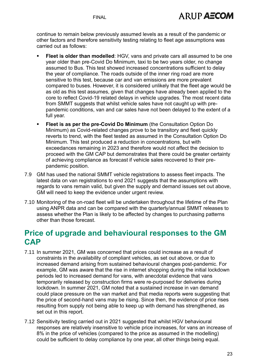continue to remain below previously assumed levels as a result of the pandemic or other factors and therefore sensitivity testing relating to fleet age assumptions was carried out as follows:

- **Fleet is older than modelled:** HGV, vans and private cars all assumed to be one year older than pre-Covid Do Minimum, taxi to be two years older, no change assumed to Bus. This test showed increased concentrations sufficient to delay the year of compliance. The roads outside of the inner ring road are more sensitive to this test, because car and van emissions are more prevalent compared to buses. However, it is considered unlikely that the fleet age would be as old as this test assumes, given that changes have already been applied to the core to reflect Covid-19 related delays in vehicle upgrades. The most recent data from SMMT suggests that whilst vehicle sales have not caught up with prepandemic conditions, van and car sales have not been delayed to the extent of a full year.
- **Fleet is as per the pre-Covid Do Minimum** (the Consultation Option Do Minimum) as Covid-related changes prove to be transitory and fleet quickly reverts to trend, with the fleet tested as assumed in the Consultation Option Do Minimum. This test produced a reduction in concentrations, but with exceedances remaining in 2023 and therefore would not affect the decision to proceed with the GM CAP but demonstrates that there could be greater certainty of achieving compliance as forecast if vehicle sales recovered to their prepandemic position.
- 7.9 GM has used the national SMMT vehicle registrations to assess fleet impacts. The latest data on van registrations to end 2021 suggests that the assumptions with regards to vans remain valid, but given the supply and demand issues set out above, GM will need to keep the evidence under urgent review.
- 7.10 Monitoring of the on-road fleet will be undertaken throughout the lifetime of the Plan using ANPR data and can be compared with the quarterly/annual SMMT releases to assess whether the Plan is likely to be affected by changes to purchasing patterns other than those forecast.

### **Price of upgrade and behavioural responses to the GM CAP**

- 7.11 In summer 2021, GM was concerned that prices could increase as a result of constraints in the availability of compliant vehicles, as set out above, or due to increased demand arising from sustained behavioural changes post-pandemic. For example, GM was aware that the rise in internet shopping during the initial lockdown periods led to increased demand for vans, with anecdotal evidence that vans temporarily released by construction firms were re-purposed for deliveries during lockdown. In summer 2021, GM noted that a sustained increase in van demand could place pressure on the van market and that media reports were suggesting that the price of second-hand vans may be rising. Since then, the evidence of price rises resulting from supply not being able to keep up with demand has strengthened, as set out in this report.
- 7.12 Sensitivity testing carried out in 2021 suggested that whilst HGV behavioural responses are relatively insensitive to vehicle price increases, for vans an increase of 8% in the price of vehicles (compared to the price as assumed in the modelling) could be sufficient to delay compliance by one year, all other things being equal.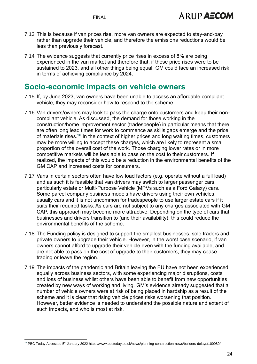- 7.13 This is because if van prices rise, more van owners are expected to stay-and-pay rather than upgrade their vehicle, and therefore the emissions reductions would be less than previously forecast.
- 7.14 The evidence suggests that currently price rises in excess of 8% are being experienced in the van market and therefore that, if these price rises were to be sustained to 2023, and all other things being equal, GM could face an increased risk in terms of achieving compliance by 2024.

#### **Socio-economic impacts on vehicle owners**

- 7.15 If, by June 2023, van owners have been unable to access an affordable compliant vehicle, they may reconsider how to respond to the scheme.
- 7.16 Van drivers/owners may look to pass the charge onto customers and keep their noncompliant vehicle. As discussed, the demand for those working in the construction/home improvement sector (tradespeople) in particular means that there are often long lead times for work to commence as skills gaps emerge and the price of materials rises.<sup>36</sup> In the context of higher prices and long waiting times, customers may be more willing to accept these charges, which are likely to represent a small proportion of the overall cost of the work. Those charging lower rates or in more competitive markets will be less able to pass on the cost to their customers. If realized, the impacts of this would be a reduction in the environmental benefits of the GM CAP and increased costs for consumers.
- 7.17 Vans in certain sectors often have low load factors (e.g. operate without a full load) and as such it is feasible that van drivers may switch to larger passenger cars, particularly estate or Multi-Purpose Vehicle (MPVs such as a Ford Galaxy) cars. Some parcel company business models have drivers using their own vehicles, usually cars and it is not uncommon for tradespeople to use larger estate cars if it suits their required tasks. As cars are not subject to any charges associated with GM CAP, this approach may become more attractive. Depending on the type of cars that businesses and drivers transition to (and their availability), this could reduce the environmental benefits of the scheme.
- 7.18 The Funding policy is designed to support the smallest businesses, sole traders and private owners to upgrade their vehicle. However, in the worst case scenario, if van owners cannot afford to upgrade their vehicle even with the funding available, and are not able to pass on the cost of upgrade to their customers, they may cease trading or leave the region.
- 7.19 The impacts of the pandemic and Britain leaving the EU have not been experienced equally across business sectors, with some experiencing major disruptions, costs and loss of business whilst others have been able to benefit from new opportunities created by new ways of working and living. GM's evidence already suggested that a number of vehicle owners were at risk of being placed in hardship as a result of the scheme and it is clear that rising vehicle prices risks worsening that position. However, better evidence is needed to understand the possible nature and extent of such impacts, and who is most at risk.

<sup>36</sup> PBC Today Accessed 5<sup>th</sup> January 2022 https://www.pbctoday.co.uk/news/planning-construction-news/builders-delays/100980/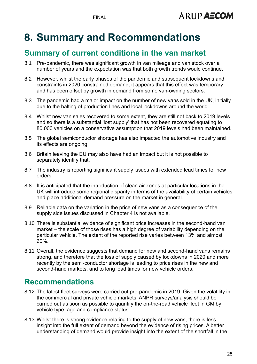# **8. Summary and Recommendations**

### **Summary of current conditions in the van market**

- 8.1 Pre-pandemic, there was significant growth in van mileage and van stock over a number of years and the expectation was that both growth trends would continue.
- 8.2 However, whilst the early phases of the pandemic and subsequent lockdowns and constraints in 2020 constrained demand, it appears that this effect was temporary and has been offset by growth in demand from some van-owning sectors.
- 8.3 The pandemic had a major impact on the number of new vans sold in the UK, initially due to the halting of production lines and local lockdowns around the world.
- 8.4 Whilst new van sales recovered to some extent, they are still not back to 2019 levels and so there is a substantial 'lost supply' that has not been recovered equating to 80,000 vehicles on a conservative assumption that 2019 levels had been maintained.
- 8.5 The global semiconductor shortage has also impacted the automotive industry and its effects are ongoing.
- 8.6 Britain leaving the EU may also have had an impact but it is not possible to separately identify that.
- 8.7 The industry is reporting significant supply issues with extended lead times for new orders.
- 8.8 It is anticipated that the introduction of clean air zones at particular locations in the UK will introduce some regional disparity in terms of the availability of certain vehicles and place additional demand pressure on the market in general.
- 8.9 Reliable data on the variation in the price of new vans as a consequence of the supply side issues discussed in Chapter 4 is not available.
- 8.10 There is substantial evidence of significant price increases in the second-hand van market – the scale of those rises has a high degree of variability depending on the particular vehicle. The extent of the reported rise varies between 13% and almost 60%.
- 8.11 Overall, the evidence suggests that demand for new and second-hand vans remains strong, and therefore that the loss of supply caused by lockdowns in 2020 and more recently by the semi-conductor shortage is leading to price rises in the new and second-hand markets, and to long lead times for new vehicle orders.

#### **Recommendations**

- 8.12 The latest fleet surveys were carried out pre-pandemic in 2019. Given the volatility in the commercial and private vehicle markets, ANPR surveys/analysis should be carried out as soon as possible to quantify the on-the-road vehicle fleet in GM by vehicle type, age and compliance status.
- 8.13 Whilst there is strong evidence relating to the supply of new vans, there is less insight into the full extent of demand beyond the evidence of rising prices. A better understanding of demand would provide insight into the extent of the shortfall in the